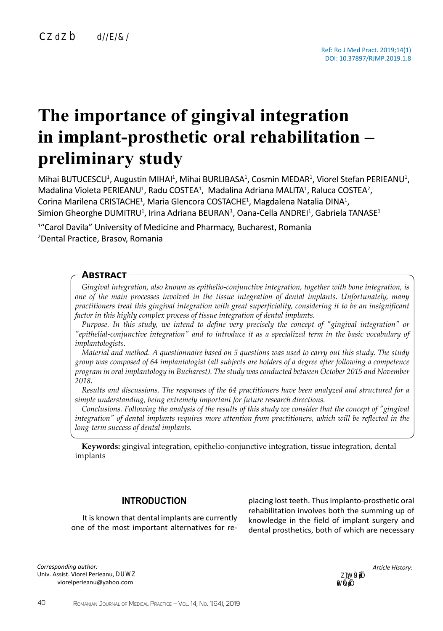# **The importance of gingival integration in implant-prosthetic oral rehabilitation – preliminary study**

Mihai BUTUCESCU<sup>1</sup>, Augustin MIHAI<sup>1</sup>, Mihai BURLIBASA<sup>1</sup>, Cosmin MEDAR<sup>1</sup>, Viorel Stefan PERIEANU<sup>1</sup>, Madalina Violeta PERIEANU<sup>1</sup>, Radu COSTEA<sup>1</sup>, Madalina Adriana MALITA<sup>1</sup>, Raluca COSTEA<sup>2</sup>, Corina Marilena CRISTACHE<sup>1</sup>, Maria Glencora COSTACHE<sup>1</sup>, Magdalena Natalia DINA<sup>1</sup>, Simion Gheorghe DUMITRU<sup>1</sup>, Irina Adriana BEURAN<sup>1</sup>, Oana-Cella ANDREI<sup>1</sup>, Gabriela TANASE<sup>1</sup>

<sup>1</sup>"Carol Davila" University of Medicine and Pharmacy, Bucharest, Romania <sup>2</sup>Dental Practice, Brasov, Romania

## **Abstract**

*Gingival integration, also known as epithelio-conjunctive integration, together with bone integration, is one of the main processes involved in the tissue integration of dental implants. Unfortunately, many practitioners treat this gingival integration with great superficiality, considering it to be an insignificant factor in this highly complex process of tissue integration of dental implants.*

*Purpose. In this study, we intend to define very precisely the concept of "gingival integration" or "epithelial-conjunctive integration" and to introduce it as a specialized term in the basic vocabulary of implantologists.*

*Material and method. A questionnaire based on 5 questions was used to carry out this study. The study group was composed of 64 implantologist (all subjects are holders of a degree after following a competence program in oral implantology in Bucharest). The study was conducted between October 2015 and November 2018.*

*Results and discussions. The responses of the 64 practitioners have been analyzed and structured for a simple understanding, being extremely important for future research directions.*

*Conclusions. Following the analysis of the results of this study we consider that the concept of "gingival integration" of dental implants requires more attention from practitioners, which will be reflected in the long-term success of dental implants.*

**Keywords:** gingival integration, epithelio-conjunctive integration, tissue integration, dental implants

## **INTRODUCTION**

It is known that dental implants are currently one of the most important alternatives for re-

*Corresponding author:*  Univ. Assist. Viorel Perieanu, MD, PhD E-mail: viorelperieanu@yahoo.com

placing lost teeth. Thus implanto-prosthetic oral rehabilitation involves both the summing up of knowledge in the field of implant surgery and dental prosthetics, both of which are necessary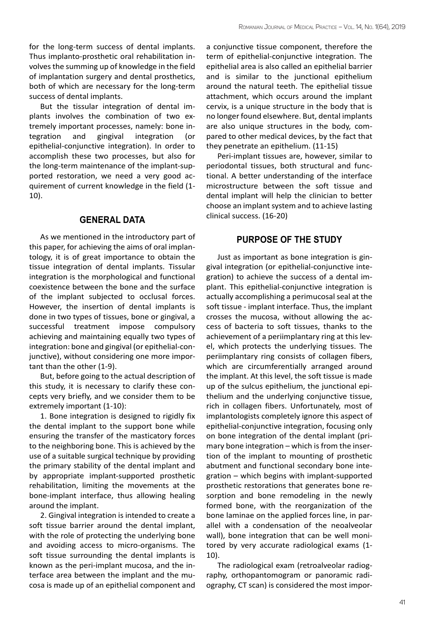for the long-term success of dental implants. Thus implanto-prosthetic oral rehabilitation involves the summing up of knowledge in the field of implantation surgery and dental prosthetics, both of which are necessary for the long-term success of dental implants.

But the tissular integration of dental implants involves the combination of two extremely important processes, namely: bone integration and gingival integration (or epithelial-conjunctive integration). In order to accomplish these two processes, but also for the long-term maintenance of the implant-supported restoration, we need a very good acquirement of current knowledge in the field (1- 10).

## **GENERAL DATA**

As we mentioned in the introductory part of this paper, for achieving the aims of oral implantology, it is of great importance to obtain the tissue integration of dental implants. Tissular integration is the morphological and functional coexistence between the bone and the surface of the implant subjected to occlusal forces. However, the insertion of dental implants is done in two types of tissues, bone or gingival, a successful treatment impose compulsory achieving and maintaining equally two types of integration: bone and gingival (or epithelial-conjunctive), without considering one more important than the other (1-9).

But, before going to the actual description of this study, it is necessary to clarify these concepts very briefly, and we consider them to be extremely important (1-10):

1. Bone integration is designed to rigidly fix the dental implant to the support bone while ensuring the transfer of the masticatory forces to the neighboring bone. This is achieved by the use of a suitable surgical technique by providing the primary stability of the dental implant and by appropriate implant-supported prosthetic rehabilitation, limiting the movements at the bone-implant interface, thus allowing healing around the implant.

2. Gingival integration is intended to create a soft tissue barrier around the dental implant, with the role of protecting the underlying bone and avoiding access to micro-organisms. The soft tissue surrounding the dental implants is known as the peri-implant mucosa, and the interface area between the implant and the mucosa is made up of an epithelial component and

a conjunctive tissue component, therefore the term of epithelial-conjunctive integration. The epithelial area is also called an epithelial barrier and is similar to the junctional epithelium around the natural teeth. The epithelial tissue attachment, which occurs around the implant cervix, is a unique structure in the body that is no longer found elsewhere. But, dental implants are also unique structures in the body, compared to other medical devices, by the fact that they penetrate an epithelium. (11-15)

Peri-implant tissues are, however, similar to periodontal tissues, both structural and functional. A better understanding of the interface microstructure between the soft tissue and dental implant will help the clinician to better choose an implant system and to achieve lasting clinical success. (16-20)

## **PURPOSE OF THE STUDY**

Just as important as bone integration is gingival integration (or epithelial-conjunctive integration) to achieve the success of a dental implant. This epithelial-conjunctive integration is actually accomplishing a perimucosal seal at the soft tissue - implant interface. Thus, the implant crosses the mucosa, without allowing the access of bacteria to soft tissues, thanks to the achievement of a periimplantary ring at this level, which protects the underlying tissues. The periimplantary ring consists of collagen fibers, which are circumferentially arranged around the implant. At this level, the soft tissue is made up of the sulcus epithelium, the junctional epithelium and the underlying conjunctive tissue, rich in collagen fibers. Unfortunately, most of implantologists completely ignore this aspect of epithelial-conjunctive integration, focusing only on bone integration of the dental implant (primary bone integration – which is from the insertion of the implant to mounting of prosthetic abutment and functional secondary bone integration – which begins with implant-supported prosthetic restorations that generates bone resorption and bone remodeling in the newly formed bone, with the reorganization of the bone laminae on the applied forces line, in parallel with a condensation of the neoalveolar wall), bone integration that can be well monitored by very accurate radiological exams (1- 10).

The radiological exam (retroalveolar radiography, orthopantomogram or panoramic radiography, CT scan) is considered the most impor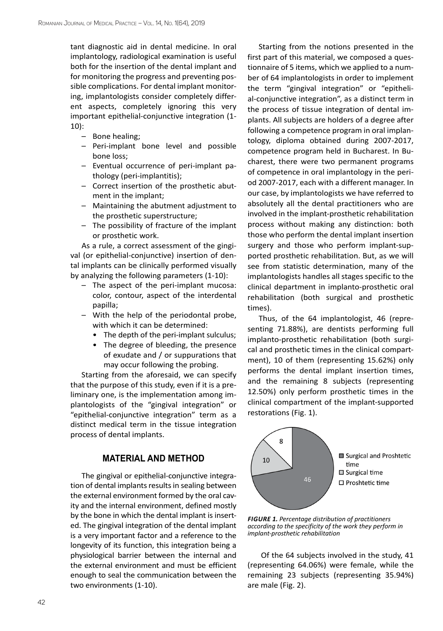tant diagnostic aid in dental medicine. In oral implantology, radiological examination is useful both for the insertion of the dental implant and for monitoring the progress and preventing possible complications. For dental implant monitoring, implantologists consider completely different aspects, completely ignoring this very important epithelial-conjunctive integration (1- 10):

- Bone healing;
- Peri-implant bone level and possible bone loss;
- Eventual occurrence of peri-implant pathology (peri-implantitis);
- Correct insertion of the prosthetic abutment in the implant;
- Maintaining the abutment adjustment to the prosthetic superstructure;
- The possibility of fracture of the implant or prosthetic work.

As a rule, a correct assessment of the gingival (or epithelial-conjunctive) insertion of dental implants can be clinically performed visually by analyzing the following parameters (1-10):

- The aspect of the peri-implant mucosa: color, contour, aspect of the interdental papilla;
- With the help of the periodontal probe, with which it can be determined:
	- The depth of the peri-implant sulculus;
	- The degree of bleeding, the presence of exudate and / or suppurations that may occur following the probing.

Starting from the aforesaid, we can specify that the purpose of this study, even if it is a preliminary one, is the implementation among implantologists of the "gingival integration" or "epithelial-conjunctive integration" term as a distinct medical term in the tissue integration process of dental implants.

## **MATERIAL AND METHOD**

The gingival or epithelial-conjunctive integration of dental implants results in sealing between the external environment formed by the oral cavity and the internal environment, defined mostly by the bone in which the dental implant is inserted. The gingival integration of the dental implant is a very important factor and a reference to the longevity of its function, this integration being a physiological barrier between the internal and the external environment and must be efficient enough to seal the communication between the two environments (1-10).

Starting from the notions presented in the first part of this material, we composed a questionnaire of 5 items, which we applied to a number of 64 implantologists in order to implement the term "gingival integration" or "epithelial-conjunctive integration", as a distinct term in the process of tissue integration of dental implants. All subjects are holders of a degree after following a competence program in oral implantology, diploma obtained during 2007-2017, competence program held in Bucharest. In Bucharest, there were two permanent programs of competence in oral implantology in the period 2007-2017, each with a different manager. In our case, by implantologists we have referred to absolutely all the dental practitioners who are involved in the implant-prosthetic rehabilitation process without making any distinction: both those who perform the dental implant insertion surgery and those who perform implant-supported prosthetic rehabilitation. But, as we will see from statistic determination, many of the implantologists handles all stages specific to the clinical department in implanto-prosthetic oral rehabilitation (both surgical and prosthetic times).

Thus, of the 64 implantologist, 46 (representing 71.88%), are dentists performing full implanto-prosthetic rehabilitation (both surgical and prosthetic times in the clinical compartment), 10 of them (representing 15.62%) only performs the dental implant insertion times, and the remaining 8 subjects (representing 12.50%) only perform prosthetic times in the clinical compartment of the implant-supported restorations (Fig. 1).



*FIGURE 1. Percentage distribution of practitioners according to the specificity of the work they perform in implant-prosthetic rehabilitation*

 Of the 64 subjects involved in the study, 41 (representing 64.06%) were female, while the remaining 23 subjects (representing 35.94%) are male (Fig. 2).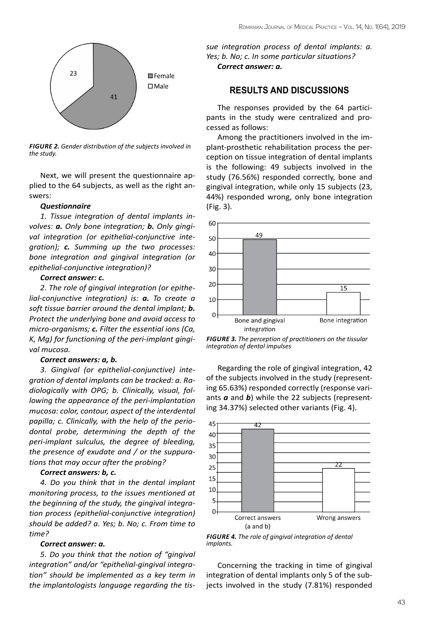

*FIGURE 2. Gender distribution of the subjects involved in the study.*

Next, we will present the questionnaire applied to the 64 subjects, as well as the right answers:

#### *Questionnaire*

*1. Tissue integration of dental implants involves: a. Only bone integration; b. Only gingival integration (or epithelial-conjunctive integration); c. Summing up the two processes: bone integration and gingival integration (or epithelial-conjunctive integration)?*

## *Correct answer: c.*

*2. The role of gingival integration (or epithelial-conjunctive integration) is: a. To create a soft tissue barrier around the dental implant; b. Protect the underlying bone and avoid access to micro-organisms; c. Filter the essential ions (Ca, K, Mg) for functioning of the peri-implant gingival mucosa.*

#### *Correct answers: a, b.*

*3. Gingival (or epithelial-conjunctive) integration of dental implants can be tracked: a. Radiologically with OPG; b. Clinically, visual, following the appearance of the peri-implantation mucosa: color, contour, aspect of the interdental papilla; c. Clinically, with the help of the periodontal probe, determining the depth of the peri-implant sulculus, the degree of bleeding, the presence of exudate and / or the suppurations that may occur after the probing?*

### *Correct answers: b, c.*

*4. Do you think that in the dental implant monitoring process, to the issues mentioned at the beginning of the study, the gingival integration process (epithelial-conjunctive integration) should be added? a. Yes; b. No; c. From time to time?*

#### *Correct answer: a.*

*5. Do you think that the notion of "gingival integration" and/or "epithelial-gingival integration" should be implemented as a key term in the implantologists language regarding the tis-* *sue integration process of dental implants: a. Yes; b. No; c. In some particular situations? Correct answer: a.*

## **Results and discussions**

The responses provided by the 64 participants in the study were centralized and processed as follows:

Among the practitioners involved in the implant-prosthetic rehabilitation process the perception on tissue integration of dental implants is the following: 49 subjects involved in the study (76.56%) responded correctly, bone and gingival integration, while only 15 subjects (23, 44%) responded wrong, only bone integration (Fig. 3).



*FIGURE 3. The perception of practitioners on the tissular integration of dental impulses*

Regarding the role of gingival integration, 42 of the subjects involved in the study (representing 65.63%) responded correctly (response variants *a* and *b*) while the 22 subjects (representing 34.37%) selected other variants (Fig. 4).



*FIGURE 4. The role of gingival integration of dental implants.*

Concerning the tracking in time of gingival integration of dental implants only 5 of the subjects involved in the study (7.81%) responded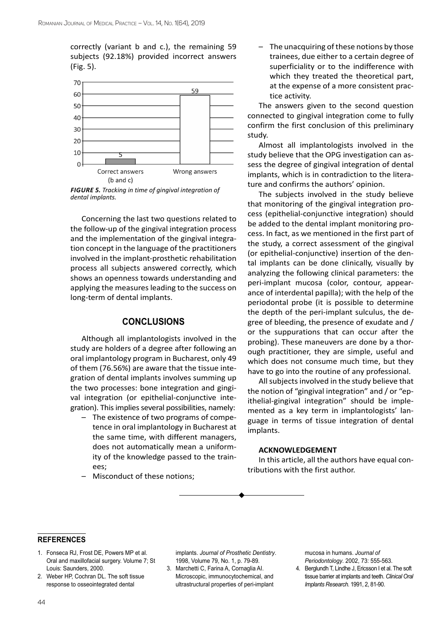correctly (variant b and c.), the remaining 59 subjects (92.18%) provided incorrect answers (Fig. 5).



*FIGURE 5. Tracking in time of gingival integration of dental implants.*

Concerning the last two questions related to the follow-up of the gingival integration process and the implementation of the gingival integration concept in the language of the practitioners involved in the implant-prosthetic rehabilitation process all subjects answered correctly, which shows an openness towards understanding and applying the measures leading to the success on long-term of dental implants.

## **Conclusions**

Although all implantologists involved in the study are holders of a degree after following an oral implantology program in Bucharest, only 49 of them (76.56%) are aware that the tissue integration of dental implants involves summing up the two processes: bone integration and gingival integration (or epithelial-conjunctive integration). This implies several possibilities, namely:

- The existence of two programs of competence in oral implantology in Bucharest at the same time, with different managers, does not automatically mean a uniformity of the knowledge passed to the trainees;
- Misconduct of these notions;

The unacquiring of these notions by those trainees, due either to a certain degree of superficiality or to the indifference with which they treated the theoretical part, at the expense of a more consistent practice activity.

The answers given to the second question connected to gingival integration come to fully confirm the first conclusion of this preliminary study.

Almost all implantologists involved in the study believe that the OPG investigation can assess the degree of gingival integration of dental implants, which is in contradiction to the literature and confirms the authors' opinion.

The subjects involved in the study believe that monitoring of the gingival integration process (epithelial-conjunctive integration) should be added to the dental implant monitoring process. In fact, as we mentioned in the first part of the study, a correct assessment of the gingival (or epithelial-conjunctive) insertion of the dental implants can be done clinically, visually by analyzing the following clinical parameters: the peri-implant mucosa (color, contour, appearance of interdental papilla); with the help of the periodontal probe (it is possible to determine the depth of the peri-implant sulculus, the degree of bleeding, the presence of exudate and / or the suppurations that can occur after the probing). These maneuvers are done by a thorough practitioner, they are simple, useful and which does not consume much time, but they have to go into the routine of any professional.

All subjects involved in the study believe that the notion of "gingival integration" and / or "epithelial-gingival integration" should be implemented as a key term in implantologists' language in terms of tissue integration of dental implants.

### **ACKNOWLEDGEMENT**

In this article, all the authors have equal contributions with the first author.

#### **REFERENCES references**

- 1. Fonseca RJ, Frost DE, Powers MP et al. Oral and maxillofacial surgery. Volume 7; St Louis: Saunders, 2000.
- 2. Weber HP, Cochran DL. The soft tissue response to osseointegrated dental

implants. *Journal of Prosthetic Dentistry*. 1998, Volume 79, No. 1, p. 79-89.

3. Marchetti C, Farina A, Cornaglia AI. Microscopic, immunocytochemical, and ultrastructural properties of peri-implant mucosa in humans. *Journal of Periodontology*. 2002, 73: 555-563.

4. Berglundh T, Lindhe J, Ericsson I et al. The soft tissue barrier at implants and teeth. *Clinical Oral Implants Research*. 1991, 2, 81-90.